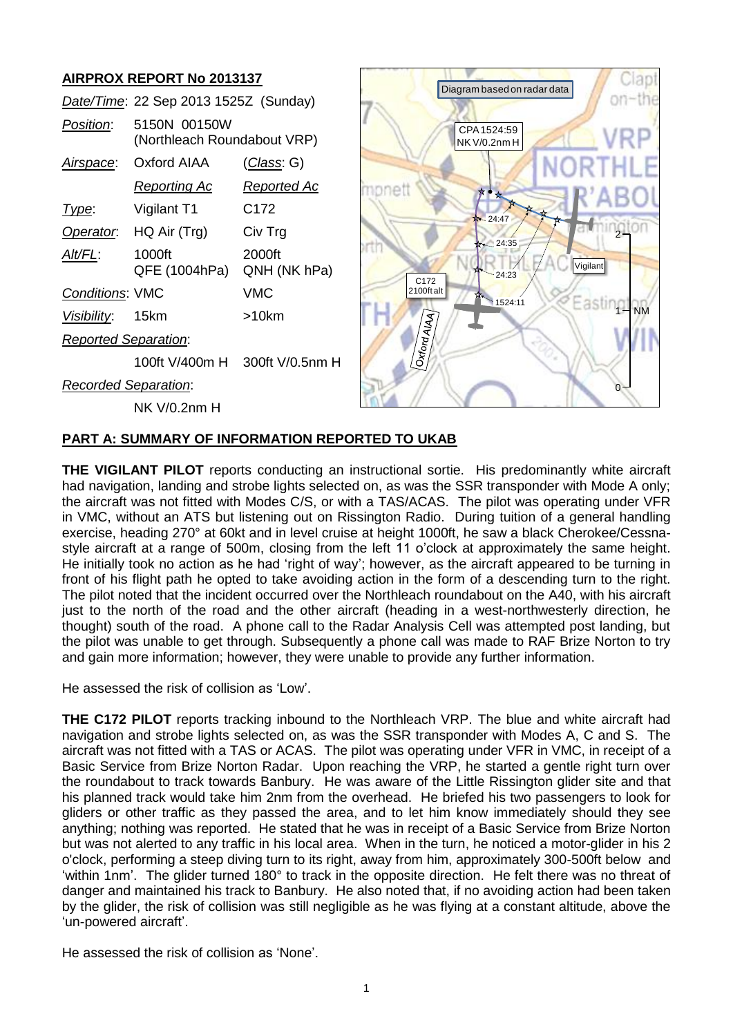# **AIRPROX REPORT No 2013137**

|                             | Date/Time: 22 Sep 2013 1525Z (Sunday)       |                        |
|-----------------------------|---------------------------------------------|------------------------|
| Position:                   | 5150N 00150W<br>(Northleach Roundabout VRP) |                        |
| Airspace:                   | AAIA brotxO                                 | (Class: G)             |
|                             | <u>Reporting Ac</u>                         | <u>Reported Ac</u>     |
| Type:                       | Vigilant T1                                 | C172                   |
| Operator.                   | HQ Air (Trg)                                | Civ Trg                |
| Alt/FL:                     | 1000ft<br>QFE (1004hPa)                     | 2000ft<br>QNH (NK hPa) |
| <b>Conditions: VMC</b>      |                                             | VMC                    |
| Visibility: 15km            |                                             | $>10$ km               |
| <b>Reported Separation:</b> |                                             |                        |
|                             | 100ft V/400m H 300ft V/0.5nm H              |                        |
| <b>Recorded Separation:</b> |                                             |                        |
|                             | NK V/0.2nm H                                |                        |



# **PART A: SUMMARY OF INFORMATION REPORTED TO UKAB**

**THE VIGILANT PILOT** reports conducting an instructional sortie. His predominantly white aircraft had navigation, landing and strobe lights selected on, as was the SSR transponder with Mode A only; the aircraft was not fitted with Modes C/S, or with a TAS/ACAS. The pilot was operating under VFR in VMC, without an ATS but listening out on Rissington Radio. During tuition of a general handling exercise, heading 270° at 60kt and in level cruise at height 1000ft, he saw a black Cherokee/Cessnastyle aircraft at a range of 500m, closing from the left 11 o'clock at approximately the same height. He initially took no action as he had 'right of way'; however, as the aircraft appeared to be turning in front of his flight path he opted to take avoiding action in the form of a descending turn to the right. The pilot noted that the incident occurred over the Northleach roundabout on the A40, with his aircraft just to the north of the road and the other aircraft (heading in a west-northwesterly direction, he thought) south of the road. A phone call to the Radar Analysis Cell was attempted post landing, but the pilot was unable to get through. Subsequently a phone call was made to RAF Brize Norton to try and gain more information; however, they were unable to provide any further information.

He assessed the risk of collision as 'Low'.

**THE C172 PILOT** reports tracking inbound to the Northleach VRP. The blue and white aircraft had navigation and strobe lights selected on, as was the SSR transponder with Modes A, C and S. The aircraft was not fitted with a TAS or ACAS. The pilot was operating under VFR in VMC, in receipt of a Basic Service from Brize Norton Radar. Upon reaching the VRP, he started a gentle right turn over the roundabout to track towards Banbury. He was aware of the Little Rissington glider site and that his planned track would take him 2nm from the overhead. He briefed his two passengers to look for gliders or other traffic as they passed the area, and to let him know immediately should they see anything; nothing was reported. He stated that he was in receipt of a Basic Service from Brize Norton but was not alerted to any traffic in his local area. When in the turn, he noticed a motor-glider in his 2 o'clock, performing a steep diving turn to its right, away from him, approximately 300-500ft below and 'within 1nm'. The glider turned 180° to track in the opposite direction. He felt there was no threat of danger and maintained his track to Banbury. He also noted that, if no avoiding action had been taken by the glider, the risk of collision was still negligible as he was flying at a constant altitude, above the 'un-powered aircraft'. Date/Time: 22 Sep 2013 15252 (Sunday)<br>
Designing: 51500 001500 No. 2008<br>
Changeage Color (ANA Collision as Reported Ac<br>
Measure Collision as Reported Ac<br>
Measure Collision as Reported Ac<br>
Measure Collision as 'None'. The r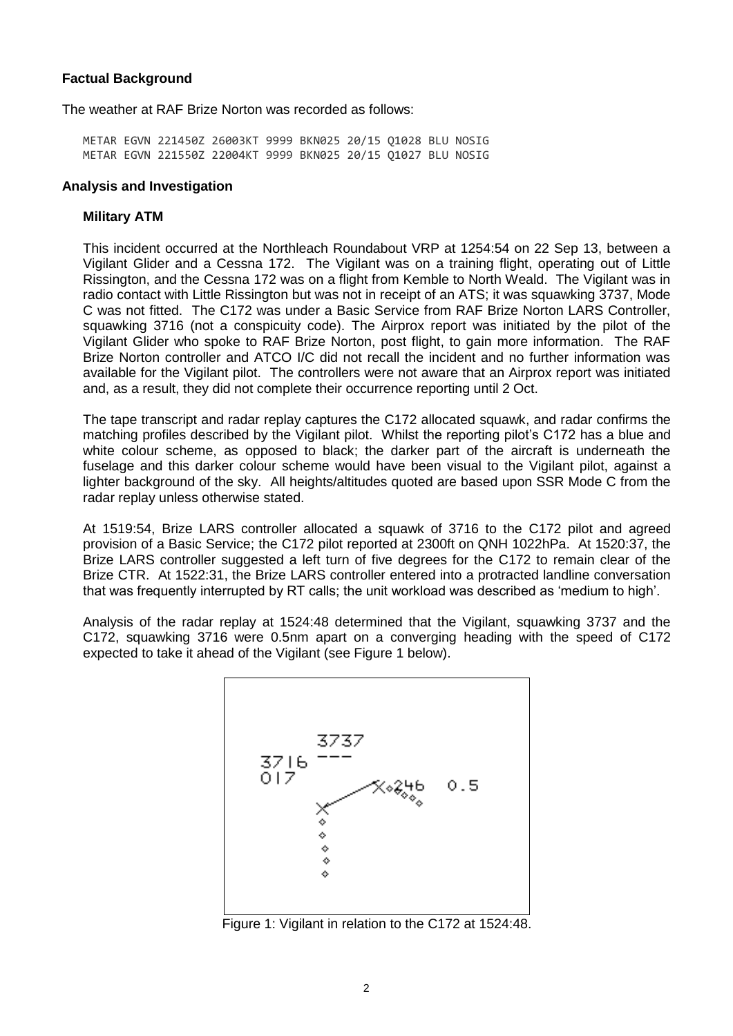# **Factual Background**

The weather at RAF Brize Norton was recorded as follows:

METAR EGVN 221450Z 26003KT 9999 BKN025 20/15 Q1028 BLU NOSIG METAR EGVN 221550Z 22004KT 9999 BKN025 20/15 Q1027 BLU NOSIG

#### **Analysis and Investigation**

#### **Military ATM**

This incident occurred at the Northleach Roundabout VRP at 1254:54 on 22 Sep 13, between a Vigilant Glider and a Cessna 172. The Vigilant was on a training flight, operating out of Little Rissington, and the Cessna 172 was on a flight from Kemble to North Weald. The Vigilant was in radio contact with Little Rissington but was not in receipt of an ATS; it was squawking 3737, Mode C was not fitted. The C172 was under a Basic Service from RAF Brize Norton LARS Controller, squawking 3716 (not a conspicuity code). The Airprox report was initiated by the pilot of the Vigilant Glider who spoke to RAF Brize Norton, post flight, to gain more information. The RAF Brize Norton controller and ATCO I/C did not recall the incident and no further information was available for the Vigilant pilot. The controllers were not aware that an Airprox report was initiated and, as a result, they did not complete their occurrence reporting until 2 Oct.

The tape transcript and radar replay captures the C172 allocated squawk, and radar confirms the matching profiles described by the Vigilant pilot. Whilst the reporting pilot's C172 has a blue and white colour scheme, as opposed to black; the darker part of the aircraft is underneath the fuselage and this darker colour scheme would have been visual to the Vigilant pilot, against a lighter background of the sky. All heights/altitudes quoted are based upon SSR Mode C from the radar replay unless otherwise stated.

At 1519:54, Brize LARS controller allocated a squawk of 3716 to the C172 pilot and agreed provision of a Basic Service; the C172 pilot reported at 2300ft on QNH 1022hPa. At 1520:37, the Brize LARS controller suggested a left turn of five degrees for the C172 to remain clear of the Brize CTR. At 1522:31, the Brize LARS controller entered into a protracted landline conversation that was frequently interrupted by RT calls; the unit workload was described as 'medium to high'.

Analysis of the radar replay at 1524:48 determined that the Vigilant, squawking 3737 and the C172, squawking 3716 were 0.5nm apart on a converging heading with the speed of C172 expected to take it ahead of the Vigilant (see Figure 1 below).



Figure 1: Vigilant in relation to the C172 at 1524:48.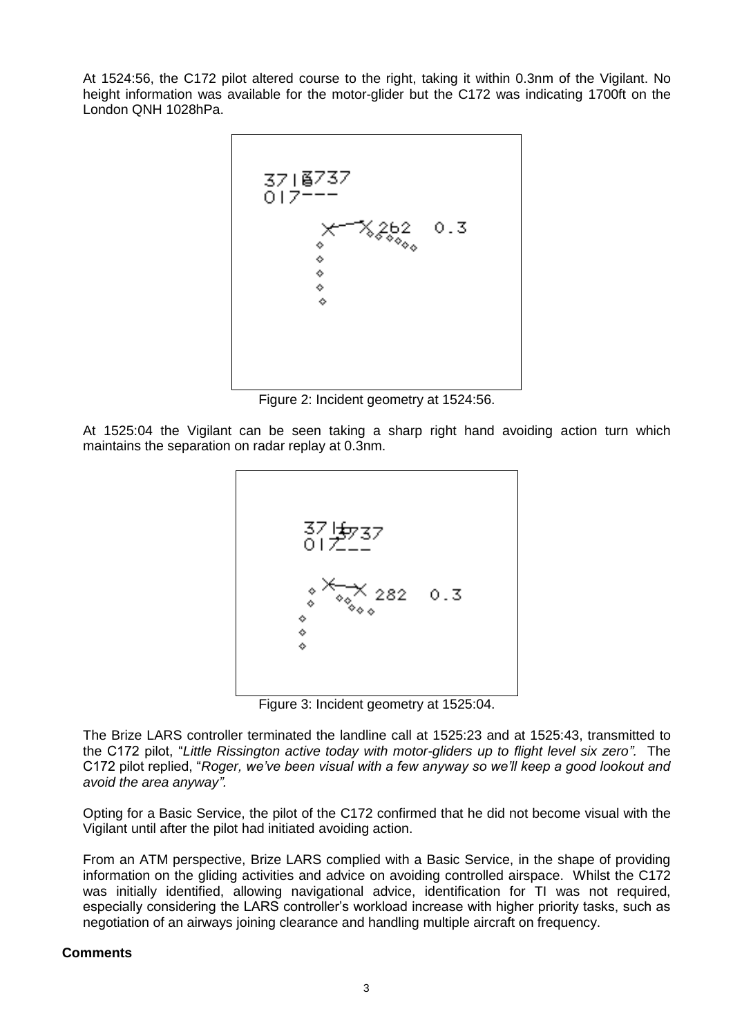At 1524:56, the C172 pilot altered course to the right, taking it within 0.3nm of the Vigilant. No height information was available for the motor-glider but the C172 was indicating 1700ft on the London QNH 1028hPa.



Figure 2: Incident geometry at 1524:56.

At 1525:04 the Vigilant can be seen taking a sharp right hand avoiding action turn which maintains the separation on radar replay at 0.3nm.



Figure 3: Incident geometry at 1525:04.

The Brize LARS controller terminated the landline call at 1525:23 and at 1525:43, transmitted to the C172 pilot, "*Little Rissington active today with motor-gliders up to flight level six zero".* The C172 pilot replied, "*Roger, we've been visual with a few anyway so we'll keep a good lookout and avoid the area anyway".*

Opting for a Basic Service, the pilot of the C172 confirmed that he did not become visual with the Vigilant until after the pilot had initiated avoiding action.

From an ATM perspective, Brize LARS complied with a Basic Service, in the shape of providing information on the gliding activities and advice on avoiding controlled airspace. Whilst the C172 was initially identified, allowing navigational advice, identification for TI was not required, especially considering the LARS controller's workload increase with higher priority tasks, such as negotiation of an airways joining clearance and handling multiple aircraft on frequency.

# **Comments**